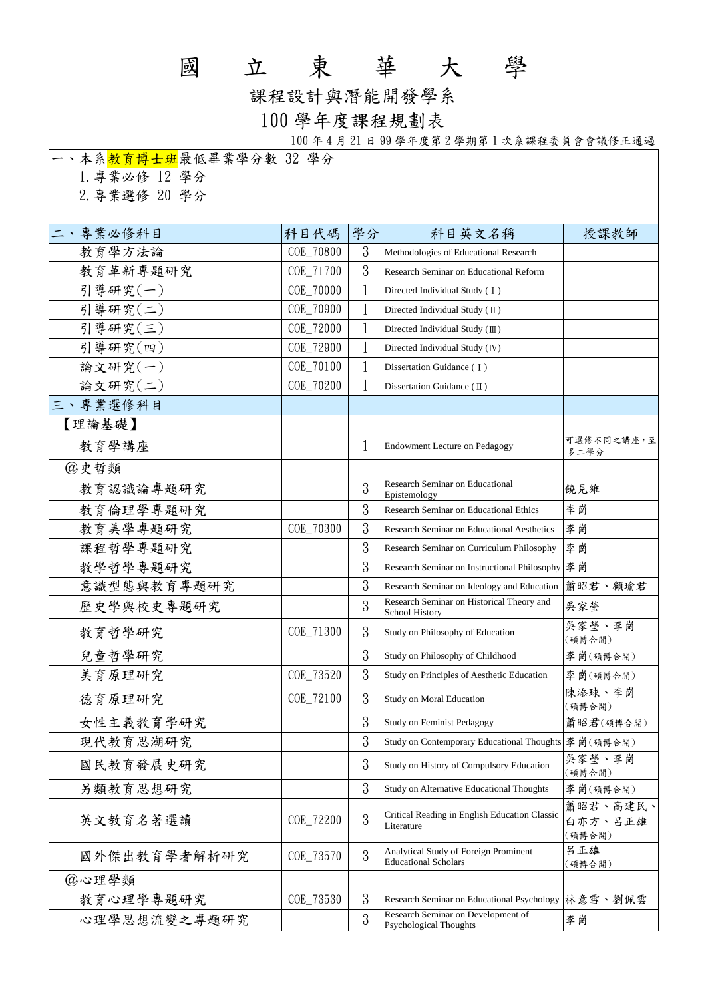## 國 立 東 華 大 學

課程設計與潛能開發學系

## 100 學年度課程規劃表

100 年 4 月 21 日 99 學年度第 2 學期第 1 次系課程委員會會議修正通過

| 一、本系 <mark>教育博士班</mark> 最低畢業學分數 32 學分 |           |    |                                                                      |                               |
|---------------------------------------|-----------|----|----------------------------------------------------------------------|-------------------------------|
| 1. 專業必修 12 學分                         |           |    |                                                                      |                               |
| 2. 專業選修 20 學分                         |           |    |                                                                      |                               |
|                                       |           |    |                                                                      |                               |
| 二、專業必修科目                              | 科目代碼      | 學分 | 科目英文名稱                                                               | 授課教師                          |
| 教育學方法論                                | COE_70800 | 3  | Methodologies of Educational Research                                |                               |
| 教育革新專題研究                              | COE_71700 | 3  | Research Seminar on Educational Reform                               |                               |
| 引導研究(一)                               | COE_70000 |    | Directed Individual Study (I)                                        |                               |
| 引導研究(二)                               | COE_70900 | 1  | Directed Individual Study (II)                                       |                               |
| 引導研究(三)                               | COE_72000 | 1  | Directed Individual Study (III)                                      |                               |
| 引導研究(四)                               | COE_72900 |    | Directed Individual Study (IV)                                       |                               |
| 論文研究(一)                               | COE_70100 |    | Dissertation Guidance (I)                                            |                               |
| 論文研究(二)                               | COE_70200 | 1  | Dissertation Guidance $(\mathbb{I})$                                 |                               |
| 三、專業選修科目                              |           |    |                                                                      |                               |
| 【理論基礎】                                |           |    |                                                                      |                               |
| 教育學講座                                 |           | 1  | Endowment Lecture on Pedagogy                                        | 可選修不同之講座,至<br>多二學分            |
| @史哲類                                  |           |    |                                                                      |                               |
| 教育認識論專題研究                             |           | 3  | Research Seminar on Educational<br>Epistemology                      | 饒見維                           |
| 教育倫理學專題研究                             |           | 3  | <b>Research Seminar on Educational Ethics</b>                        | 李崗                            |
| 教育美學專題研究                              | COE_70300 | 3  | <b>Research Seminar on Educational Aesthetics</b>                    | 李崗                            |
| 課程哲學專題研究                              |           | 3  | Research Seminar on Curriculum Philosophy                            | 李崗                            |
| 教學哲學專題研究                              |           | 3  | Research Seminar on Instructional Philosophy                         | 李崗                            |
| 意識型態與教育專題研究                           |           | 3  | Research Seminar on Ideology and Education                           | 蕭昭君、顧瑜君                       |
| 歷史學與校史專題研究                            |           | 3  | Research Seminar on Historical Theory and<br><b>School History</b>   | 吳家瑩                           |
| 教育哲學研究                                | COE_71300 | 3  | Study on Philosophy of Education                                     | 吳家瑩、李崗<br>(碩博合開)              |
| 兒童哲學研究                                |           | 3  | Study on Philosophy of Childhood                                     | 李崗(碩博合開)                      |
| 美育原理研究                                | COE_73520 | 3  | Study on Principles of Aesthetic Education                           | 李崗(碩博合開)                      |
| 德育原理研究                                | COE_72100 | 3  | <b>Study on Moral Education</b>                                      | 陳添球、李崗<br>(碩博合開)              |
| 女性主義教育學研究                             |           | 3  | Study on Feminist Pedagogy                                           | 蕭昭君(碩博合開)                     |
| 現代教育思潮研究                              |           | 3  | Study on Contemporary Educational Thoughts                           | 李崗(碩博合開)                      |
| 國民教育發展史研究                             |           | 3  | Study on History of Compulsory Education                             | 吳家瑩、李崗<br>(碩博合開)              |
| 另類教育思想研究                              |           | 3  | Study on Alternative Educational Thoughts                            | 李崗(碩博合開)                      |
| 英文教育名著選讀                              | COE_72200 | 3  | Critical Reading in English Education Classic<br>Literature          | 蕭昭君、高建民、<br>白亦方、呂正雄<br>(碩博合開) |
| 國外傑出教育學者解析研究                          | COE_73570 | 3  | Analytical Study of Foreign Prominent<br><b>Educational Scholars</b> | 呂正雄<br>(碩博合開)                 |
| @心理學類                                 |           |    |                                                                      |                               |
| 教育心理學專題研究                             | COE_73530 | 3  | Research Seminar on Educational Psychology                           | 林意雪、劉佩雲                       |
| 心理學思想流變之專題研究                          |           | 3  | Research Seminar on Development of<br><b>Psychological Thoughts</b>  | 李崗                            |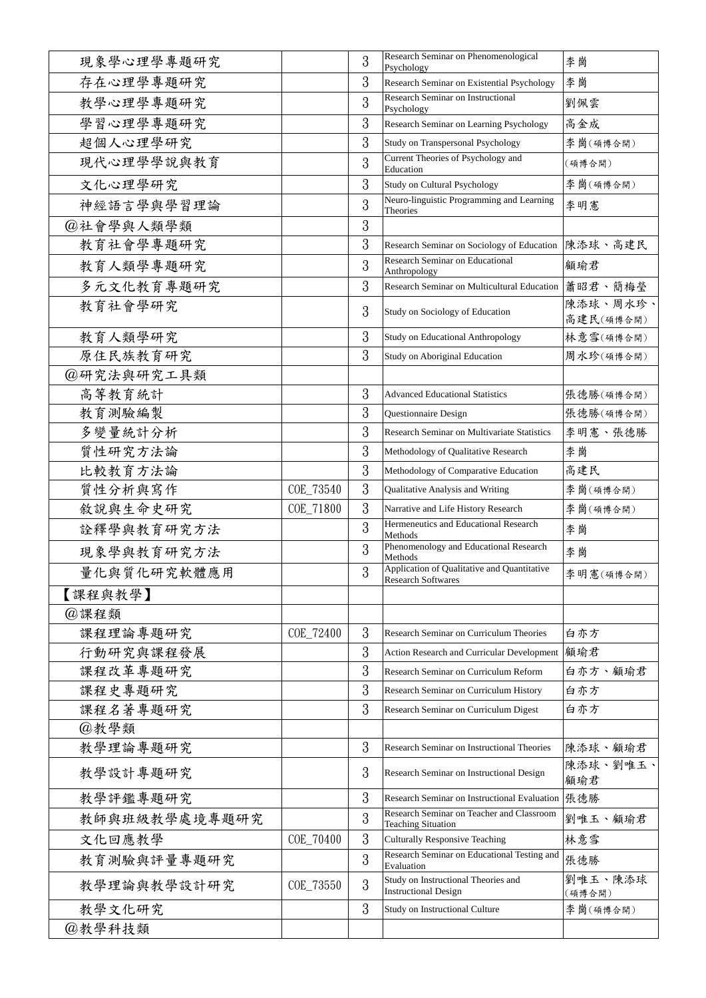| 現象學心理學專題研究    |           | 3 | Research Seminar on Phenomenological<br>Psychology                       | 李崗                     |
|---------------|-----------|---|--------------------------------------------------------------------------|------------------------|
| 存在心理學專題研究     |           | 3 | Research Seminar on Existential Psychology                               | 李崗                     |
| 教學心理學專題研究     |           | 3 | <b>Research Seminar on Instructional</b><br>Psychology                   | 劉佩雲                    |
| 學習心理學專題研究     |           | 3 | Research Seminar on Learning Psychology                                  | 高金成                    |
| 超個人心理學研究      |           | 3 | Study on Transpersonal Psychology                                        | 李崗(碩博合開)               |
| 現代心理學學說與教育    |           | 3 | Current Theories of Psychology and<br>Education                          | (碩博合開)                 |
| 文化心理學研究       |           | 3 | Study on Cultural Psychology                                             | 李崗(碩博合開)               |
| 神經語言學與學習理論    |           | 3 | Neuro-linguistic Programming and Learning<br>Theories                    | 李明憲                    |
| @社會學與人類學類     |           | 3 |                                                                          |                        |
| 教育社會學專題研究     |           | 3 | Research Seminar on Sociology of Education                               | 陳添球、高建民                |
| 教育人類學專題研究     |           | 3 | <b>Research Seminar on Educational</b><br>Anthropology                   | 顧瑜君                    |
| 多元文化教育專題研究    |           | 3 | Research Seminar on Multicultural Education   蕭昭君、簡梅瑩                    |                        |
| 教育社會學研究       |           | 3 | Study on Sociology of Education                                          | 陳添球、周水珍、               |
| 教育人類學研究       |           | 3 | <b>Study on Educational Anthropology</b>                                 | 高建民(碩博合開)<br>林意雪(碩博合開) |
| 原住民族教育研究      |           | 3 | Study on Aboriginal Education                                            | 周水珍(碩博合開)              |
| @研究法與研究工具類    |           |   |                                                                          |                        |
| 高等教育統計        |           | 3 | <b>Advanced Educational Statistics</b>                                   | 張德勝(碩博合開)              |
| 教育測驗編製        |           | 3 | Questionnaire Design                                                     | 張德勝(碩博合開)              |
| 多變量統計分析       |           | 3 | <b>Research Seminar on Multivariate Statistics</b>                       | 李明憲、張德勝                |
| 質性研究方法論       |           | 3 | Methodology of Qualitative Research                                      | 李崗                     |
| 比較教育方法論       |           | 3 | Methodology of Comparative Education                                     | 高建民                    |
| 質性分析與寫作       | COE_73540 | 3 | Qualitative Analysis and Writing                                         | 李崗(碩博合開)               |
| 敘說與生命史研究      | COE_71800 | 3 | Narrative and Life History Research                                      | 李崗(碩博合開)               |
| 詮釋學與教育研究方法    |           | 3 | Hermeneutics and Educational Research<br>Methods                         | 李崗                     |
| 現象學與教育研究方法    |           | 3 | Phenomenology and Educational Research<br>Methods                        | 李崗                     |
| 量化與質化研究軟體應用   |           | 3 | Application of Qualitative and Quantitative<br><b>Research Softwares</b> | 李明憲(碩博合開)              |
| 【課程與教學】       |           |   |                                                                          |                        |
| @課程類          |           |   |                                                                          |                        |
| 課程理論專題研究      | COE_72400 | 3 | Research Seminar on Curriculum Theories                                  | 白亦方                    |
| 行動研究與課程發展     |           | 3 | Action Research and Curricular Development   顧瑜君                         |                        |
| 課程改革專題研究      |           | 3 | Research Seminar on Curriculum Reform                                    | 白亦方、顧瑜君                |
| 課程史專題研究       |           | 3 | Research Seminar on Curriculum History                                   | 白亦方                    |
| 課程名著專題研究      |           | 3 | Research Seminar on Curriculum Digest                                    | 白亦方                    |
| @教學類          |           |   |                                                                          |                        |
| 教學理論專題研究      |           | 3 | Research Seminar on Instructional Theories                               | 陳添球、顧瑜君                |
| 教學設計專題研究      |           | 3 | Research Seminar on Instructional Design                                 | 陳添球、劉唯玉、<br>顧瑜君        |
| 教學評鑑專題研究      |           | 3 | Research Seminar on Instructional Evaluation   張德勝                       |                        |
| 教師與班級教學處境專題研究 |           | 3 | Research Seminar on Teacher and Classroom<br><b>Teaching Situation</b>   | 劉唯玉、顧瑜君                |
| 文化回應教學        | COE_70400 | 3 | <b>Culturally Responsive Teaching</b>                                    | 林意雪                    |
| 教育測驗與評量專題研究   |           | 3 | Research Seminar on Educational Testing and<br>Evaluation                | 張德勝                    |
| 教學理論與教學設計研究   | COE_73550 | 3 | Study on Instructional Theories and<br><b>Instructional Design</b>       | 劉唯玉、陳添球<br>(碩博合開)      |
| 教學文化研究        |           | 3 | Study on Instructional Culture                                           | 李崗(碩博合開)               |
| @教學科技類        |           |   |                                                                          |                        |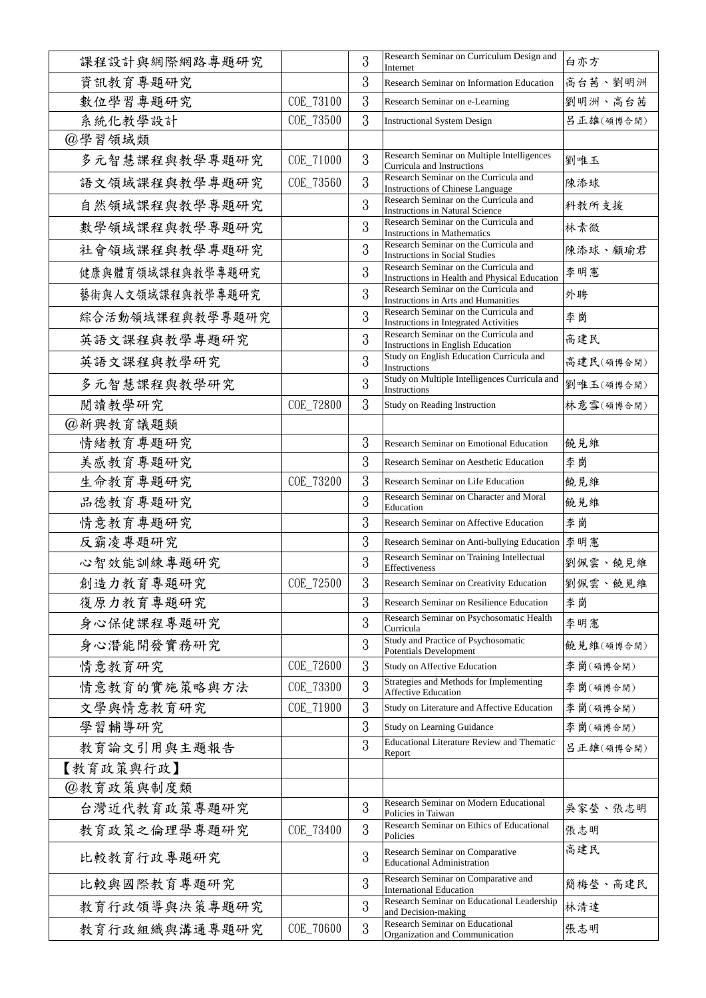| 課程設計與網際網路專題研究    |           | 3             | Research Seminar on Curriculum Design and<br>Internet                                  | 白亦方       |
|------------------|-----------|---------------|----------------------------------------------------------------------------------------|-----------|
| 資訊教育專題研究         |           | 3             | Research Seminar on Information Education                                              | 高台茜、劉明洲   |
| 數位學習專題研究         | COE_73100 | 3             | Research Seminar on e-Learning                                                         | 劉明洲、高台茜   |
| 系統化教學設計          | COE_73500 | 3             | <b>Instructional System Design</b>                                                     | 呂正雄(碩博合開) |
| @學習領域類           |           |               |                                                                                        |           |
| 多元智慧課程與教學專題研究    | COE_71000 | 3             | Research Seminar on Multiple Intelligences<br>Curricula and Instructions               | 劉唯玉       |
| 語文領域課程與教學專題研究    | COE_73560 | 3             | Research Seminar on the Curricula and<br><b>Instructions of Chinese Language</b>       | 陳添球       |
| 自然領域課程與教學專題研究    |           | 3             | Research Seminar on the Curricula and<br><b>Instructions in Natural Science</b>        | 科教所支援     |
| 數學領域課程與教學專題研究    |           | 3             | Research Seminar on the Curricula and<br><b>Instructions in Mathematics</b>            | 林素微       |
| 社會領域課程與教學專題研究    |           | 3             | Research Seminar on the Curricula and<br><b>Instructions in Social Studies</b>         | 陳添球、顧瑜君   |
| 健康與體育領域課程與教學專題研究 |           | 3             | Research Seminar on the Curricula and<br>Instructions in Health and Physical Education | 李明憲       |
| 藝術與人文領域課程與教學專題研究 |           | 3             | Research Seminar on the Curricula and<br>Instructions in Arts and Humanities           | 外聘        |
| 綜合活動領域課程與教學專題研究  |           | 3             | Research Seminar on the Curricula and<br><b>Instructions in Integrated Activities</b>  | 李崗        |
| 英語文課程與教學專題研究     |           | 3             | Research Seminar on the Curricula and<br>Instructions in English Education             | 高建民       |
| 英語文課程與教學研究       |           | 3             | Study on English Education Curricula and<br>Instructions                               | 高建民(碩博合開) |
| 多元智慧課程與教學研究      |           | 3             | Study on Multiple Intelligences Curricula and<br>Instructions                          | 劉唯玉(碩博合開) |
| 閱讀教學研究           | COE_72800 | 3             | Study on Reading Instruction                                                           | 林意雪(碩博合開) |
| @新興教育議題類         |           |               |                                                                                        |           |
| 情緒教育專題研究         |           | 3             | <b>Research Seminar on Emotional Education</b>                                         | 饒見維       |
| 美感教育專題研究         |           | 3             | Research Seminar on Aesthetic Education                                                | 李崗        |
| 生命教育專題研究         | COE_73200 | 3             | Research Seminar on Life Education                                                     | 饒見維       |
| 品德教育專題研究         |           | 3             | Research Seminar on Character and Moral<br>Education                                   | 饒見維       |
| 情意教育專題研究         |           | 3             | Research Seminar on Affective Education                                                | 李崗        |
| 反霸凌專題研究          |           | 3             | Research Seminar on Anti-bullying Education 李明憲                                        |           |
| 心智效能訓練專題研究       |           | 3             | Research Seminar on Training Intellectual<br>Effectiveness                             | 劉佩雲、饒見維   |
| 創造力教育專題研究        | COE_72500 | $\Omega$<br>3 | Research Seminar on Creativity Education                                               | 劉佩雲、饒見維   |
| 復原力教育專題研究        |           | 3             | Research Seminar on Resilience Education                                               | 李崗        |
| 身心保健課程專題研究       |           | 3             | Research Seminar on Psychosomatic Health<br>Curricula                                  | 李明憲       |
| 身心潛能開發實務研究       |           | 3             | Study and Practice of Psychosomatic<br><b>Potentials Development</b>                   | 饒見維(碩博合開) |
| 情意教育研究           | COE_72600 | 3             | Study on Affective Education                                                           | 李崗(碩博合開)  |
| 情意教育的實施策略與方法     | COE_73300 | 3             | Strategies and Methods for Implementing<br><b>Affective Education</b>                  | 李崗(碩博合開)  |
| 文學與情意教育研究        | COE_71900 | 3             | Study on Literature and Affective Education                                            | 李崗(碩博合開)  |
| 學習輔導研究           |           | 3             | Study on Learning Guidance                                                             | 李崗(碩博合開)  |
| 教育論文引用與主題報告      |           | 3             | <b>Educational Literature Review and Thematic</b><br>Report                            | 呂正雄(碩博合開) |
| 【教育政策與行政】        |           |               |                                                                                        |           |
| @教育政策與制度類        |           |               |                                                                                        |           |
| 台灣近代教育政策專題研究     |           | 3             | Research Seminar on Modern Educational<br>Policies in Taiwan                           | 吳家瑩、張志明   |
| 教育政策之倫理學專題研究     | COE_73400 | 3             | Research Seminar on Ethics of Educational<br>Policies                                  | 張志明       |
| 比較教育行政專題研究       |           | 3             | Research Seminar on Comparative<br><b>Educational Administration</b>                   | 高建民       |
| 比較與國際教育專題研究      |           | 3             | Research Seminar on Comparative and<br><b>International Education</b>                  | 簡梅瑩、高建民   |
| 教育行政領導與決策專題研究    |           | 3             | Research Seminar on Educational Leadership<br>and Decision-making                      | 林清達       |
| 教育行政組織與溝通專題研究    | COE_70600 | 3             | <b>Research Seminar on Educational</b><br>Organization and Communication               | 張志明       |